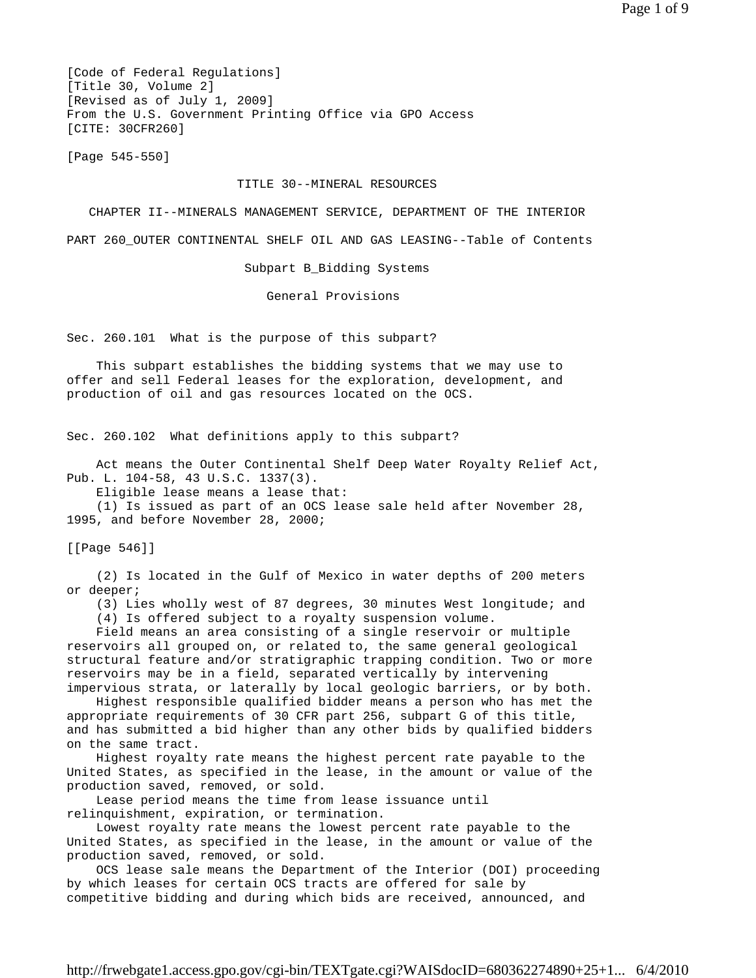[Code of Federal Regulations] [Title 30, Volume 2] [Revised as of July 1, 2009] From the U.S. Government Printing Office via GPO Access [CITE: 30CFR260]

[Page 545-550]

## TITLE 30--MINERAL RESOURCES

CHAPTER II--MINERALS MANAGEMENT SERVICE, DEPARTMENT OF THE INTERIOR

PART 260 OUTER CONTINENTAL SHELF OIL AND GAS LEASING--Table of Contents

Subpart B\_Bidding Systems

General Provisions

Sec. 260.101 What is the purpose of this subpart?

 This subpart establishes the bidding systems that we may use to offer and sell Federal leases for the exploration, development, and production of oil and gas resources located on the OCS.

Sec. 260.102 What definitions apply to this subpart?

 Act means the Outer Continental Shelf Deep Water Royalty Relief Act, Pub. L. 104-58, 43 U.S.C. 1337(3).

Eligible lease means a lease that:

 (1) Is issued as part of an OCS lease sale held after November 28, 1995, and before November 28, 2000;

[[Page 546]]

 (2) Is located in the Gulf of Mexico in water depths of 200 meters or deeper;

 (3) Lies wholly west of 87 degrees, 30 minutes West longitude; and (4) Is offered subject to a royalty suspension volume.

 Field means an area consisting of a single reservoir or multiple reservoirs all grouped on, or related to, the same general geological structural feature and/or stratigraphic trapping condition. Two or more reservoirs may be in a field, separated vertically by intervening impervious strata, or laterally by local geologic barriers, or by both.

 Highest responsible qualified bidder means a person who has met the appropriate requirements of 30 CFR part 256, subpart G of this title, and has submitted a bid higher than any other bids by qualified bidders on the same tract.

 Highest royalty rate means the highest percent rate payable to the United States, as specified in the lease, in the amount or value of the production saved, removed, or sold.

 Lease period means the time from lease issuance until relinquishment, expiration, or termination.

 Lowest royalty rate means the lowest percent rate payable to the United States, as specified in the lease, in the amount or value of the production saved, removed, or sold.

 OCS lease sale means the Department of the Interior (DOI) proceeding by which leases for certain OCS tracts are offered for sale by competitive bidding and during which bids are received, announced, and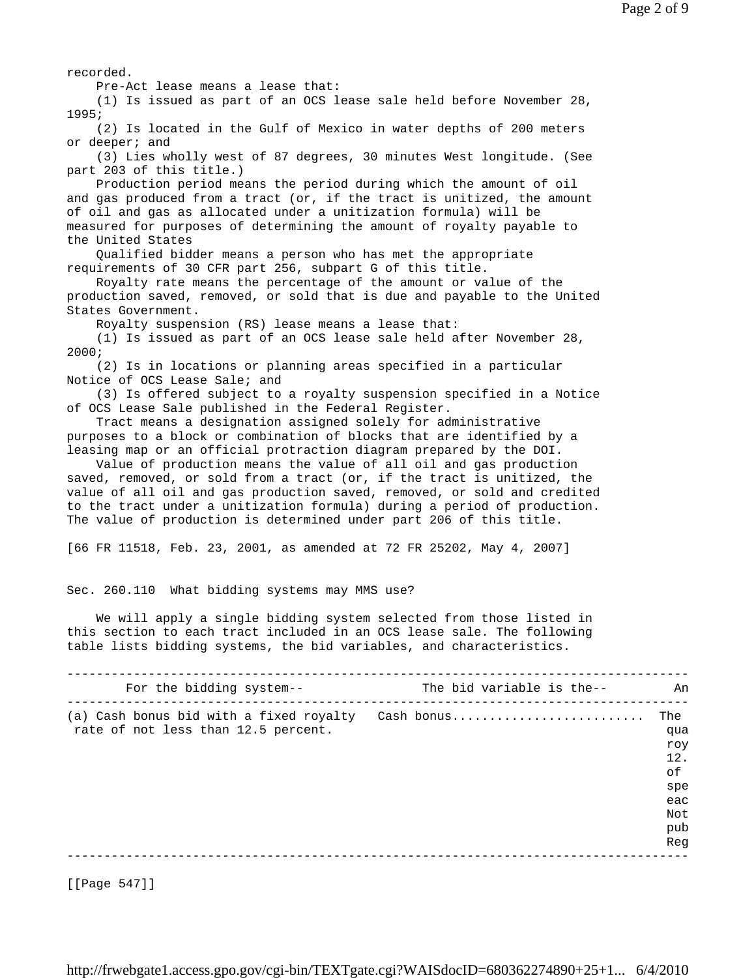recorded.

Pre-Act lease means a lease that:

 (1) Is issued as part of an OCS lease sale held before November 28, 1995;

 (2) Is located in the Gulf of Mexico in water depths of 200 meters or deeper; and

 (3) Lies wholly west of 87 degrees, 30 minutes West longitude. (See part 203 of this title.)

 Production period means the period during which the amount of oil and gas produced from a tract (or, if the tract is unitized, the amount of oil and gas as allocated under a unitization formula) will be measured for purposes of determining the amount of royalty payable to the United States

 Qualified bidder means a person who has met the appropriate requirements of 30 CFR part 256, subpart G of this title.

 Royalty rate means the percentage of the amount or value of the production saved, removed, or sold that is due and payable to the United States Government.

Royalty suspension (RS) lease means a lease that:

 (1) Is issued as part of an OCS lease sale held after November 28, 2000;

 (2) Is in locations or planning areas specified in a particular Notice of OCS Lease Sale; and

 (3) Is offered subject to a royalty suspension specified in a Notice of OCS Lease Sale published in the Federal Register.

 Tract means a designation assigned solely for administrative purposes to a block or combination of blocks that are identified by a leasing map or an official protraction diagram prepared by the DOI.

 Value of production means the value of all oil and gas production saved, removed, or sold from a tract (or, if the tract is unitized, the value of all oil and gas production saved, removed, or sold and credited to the tract under a unitization formula) during a period of production. The value of production is determined under part 206 of this title.

[66 FR 11518, Feb. 23, 2001, as amended at 72 FR 25202, May 4, 2007]

Sec. 260.110 What bidding systems may MMS use?

 We will apply a single bidding system selected from those listed in this section to each tract included in an OCS lease sale. The following table lists bidding systems, the bid variables, and characteristics.

| For the bidding system--                                                       | The bid variable is the-- | An                                                                |
|--------------------------------------------------------------------------------|---------------------------|-------------------------------------------------------------------|
| (a) Cash bonus bid with a fixed royalty<br>rate of not less than 12.5 percent. | Cash bonus                | The<br>qua<br>roy<br>12.<br>of<br>spe<br>eac<br>Not<br>pub<br>Reg |
|                                                                                |                           |                                                                   |

[[Page 547]]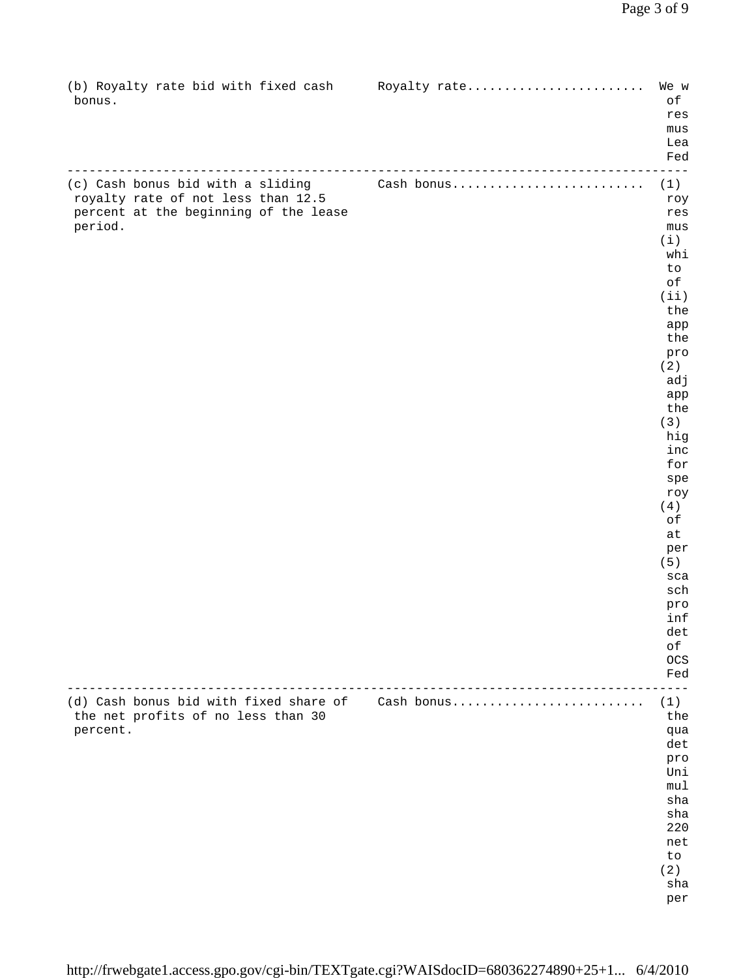| (b) Royalty rate bid with fixed cash<br>bonus.                                                                              | Royalty rate                     | We w<br>$\circ f$<br>res<br>mus<br>Lea<br>Fed                                                                                                                                                                                                  |
|-----------------------------------------------------------------------------------------------------------------------------|----------------------------------|------------------------------------------------------------------------------------------------------------------------------------------------------------------------------------------------------------------------------------------------|
| (c) Cash bonus bid with a sliding<br>royalty rate of not less than 12.5<br>percent at the beginning of the lease<br>period. | __________________<br>Cash bonus | (1)<br>roy<br>res<br>mus<br>(i)<br>whi<br>to<br>оf<br>(iii)<br>the<br>app<br>the<br>pro<br>(2)<br>adj<br>app<br>the<br>(3)<br>hig<br>inc<br>for<br>spe<br>roy<br>(4)<br>оf<br>at<br>per<br>(5)<br>sca<br>sch<br>pro<br>inf<br>det<br>оf<br>OCS |
|                                                                                                                             |                                  | Fed                                                                                                                                                                                                                                            |
| (d) Cash bonus bid with fixed share of<br>the net profits of no less than 30<br>percent.                                    | Cash bonus                       | (1)<br>the<br>qua<br>det<br>pro<br>Uni<br>mul<br>sha<br>sha<br>220<br>net<br>to<br>(2)<br>sha<br>per                                                                                                                                           |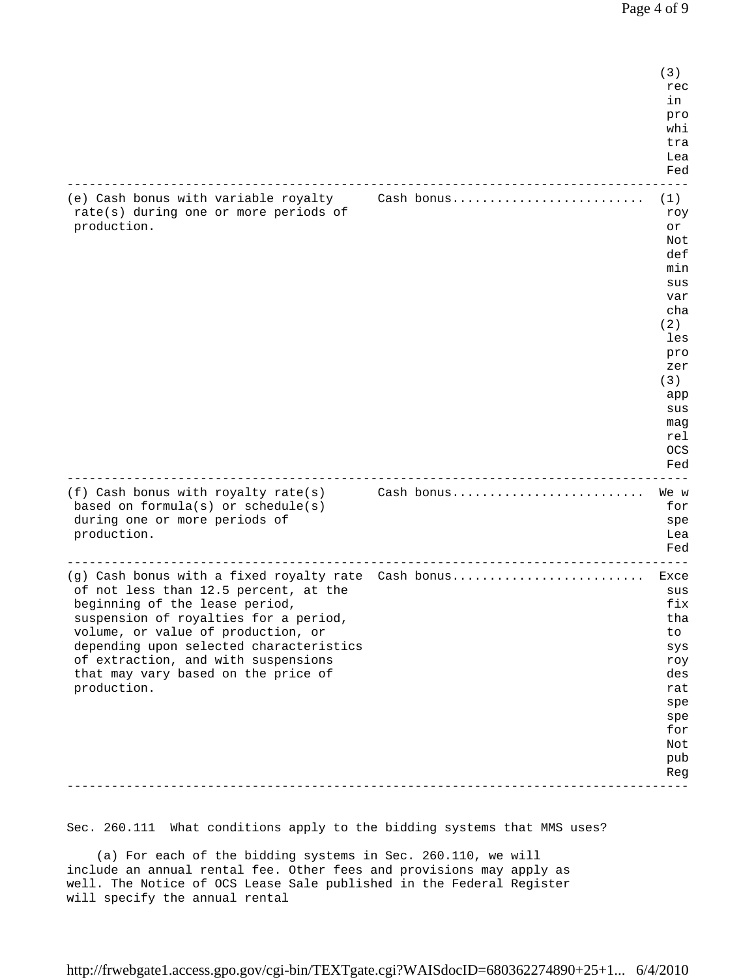$(3)$ recommendation of the contract of the contract of the contract of the contract of the contract of the contract of the contract of the contract of the contract of the contract of the contract of the contract of the contract in the contract of the contract of the contract of the contract of the contract of the contract of the contract of the contract of the contract of the contract of the contract of the contract of the contract of the contrac pro while the contract of the contract of the contract of the contract of the contract of the contract of the contract of the contract of the contract of the contract of the contract of the contract of the contract of the cont tra de la contra de la contra de la contra de la contra de la contra de la contra de la contra de la contra de<br>En la contra de la contra de la contra de la contra de la contra de la contra de la contra de la contra de la e de la construcción de la construcción de la construcción de la construcción de la construcción de la construcción en de la provincia de la provincia de la provincia de la provincia de la provincia de la provincia de la provi ------------------------------------------------------------------------------------ (e) Cash bonus with variable royalty Cash bonus.......................... (1) rate(s) during one or more periods of  $r$  roy production.  $\qquad \qquad \text{or}$  Not defined by the control of the control of the control of the control of the control of the control of the control of the control of the control of the control of the control of the control of the control of the control of t min and the contract of the contract of the contract of the contract of the contract of the contract of the co sus and the contract of the contract of the contract of the contract of the contract of the contract of the contract of the contract of the contract of the contract of the contract of the contract of the contract of the co var cha ann an chaidh ann an chaidh ann an chaidh an chaidh ann an chaidh an chaidh an chaidh an chaidh an chaidh  $(2)$  les pro zer de la provincia de la provincia de la provincia de la provincia de la provincia de la provincia de la prov<br>En la provincia de la provincia de la provincia de la provincia de la provincia de la provincia de la provinci  $(3)$ app and the contract of the contract of the contract of the contract of the contract of the contract of the contract of the contract of the contract of the contract of the contract of the contract of the contract of the co sus and the contract of the contract of the contract of the contract of the contract of the contract of the contract of the contract of the contract of the contract of the contract of the contract of the contract of the co magnetic control of the control of the control of the control of the control of the control of the control of the control of the control of the control of the control of the control of the control of the control of the con relations and the contract of the contract of the contract of the contract of the contract of the contract of **CONSERVATION** en de la provincia de la provincia de la provincia de la provincia de la provincia de la provincia de la provi ------------------------------------------------------------------------------------ (f) Cash bonus with royalty rate(s) Cash bonus.......................... We w based on formula(s) or schedule(s) for set of the set of the set of the set of the set of the set of the set of the set of the set of the set of the set of the set of the set of the set of the set of the set of the set of during one or more periods of specific specific specific specific specific specific specific specific specific production. Lea en de la provincia de la provincia de la provincia de la provincia de la provincia de la provincia de la provi ------------------------------------------------------------------------------------ (g) Cash bonus with a fixed royalty rate Cash bonus.............................. Exce of not less than 12.5 percent, at the sus beginning of the lease period, the state of the state of the lease period, the state of the state of the state of the state of the state of the state of the state of the state of the state of the state of the state of the suspension of royalties for a period, that is not the substitution of the state of the state of the state of the state of the state of the state of the state of the state of the state of the state of the state of the state volume, or value of production, or to depending upon selected characteristics systems of the system of the system of the system of the system of the system of the system of the system of the system of the system of the system of the system of the system of the of extraction, and with suspensions roy that may vary based on the price of desired and the state of desired and desired and desired and desired and desired and desired and desired and desired and desired and desired and desired and desired and desired and desir production. The contract of the contract of the contract of the contract of the contract of the contract of the contract of the contract of the contract of the contract of the contract of the contract of the contract of th spectrum of the control of the control of the control of the control of the control of the control of the control of the control of the control of the control of the control of the control of the control of the control of spectrum of the control of the control of the control of the control of the control of the control of the control of the control of the control of the control of the control of the control of the control of the control of for Not public contracts of the contracts of the contracts of the contracts of the contracts of the contracts of the contracts of the contracts of the contracts of the contracts of the contracts of the contracts of the contracts o n de la construction de la construction de la construction de la construction de la construction de la construction de la construction de la construction de la construction de la construction de la construction de la const ------------------------------------------------------------------------------------

Sec. 260.111 What conditions apply to the bidding systems that MMS uses?

 (a) For each of the bidding systems in Sec. 260.110, we will include an annual rental fee. Other fees and provisions may apply as well. The Notice of OCS Lease Sale published in the Federal Register will specify the annual rental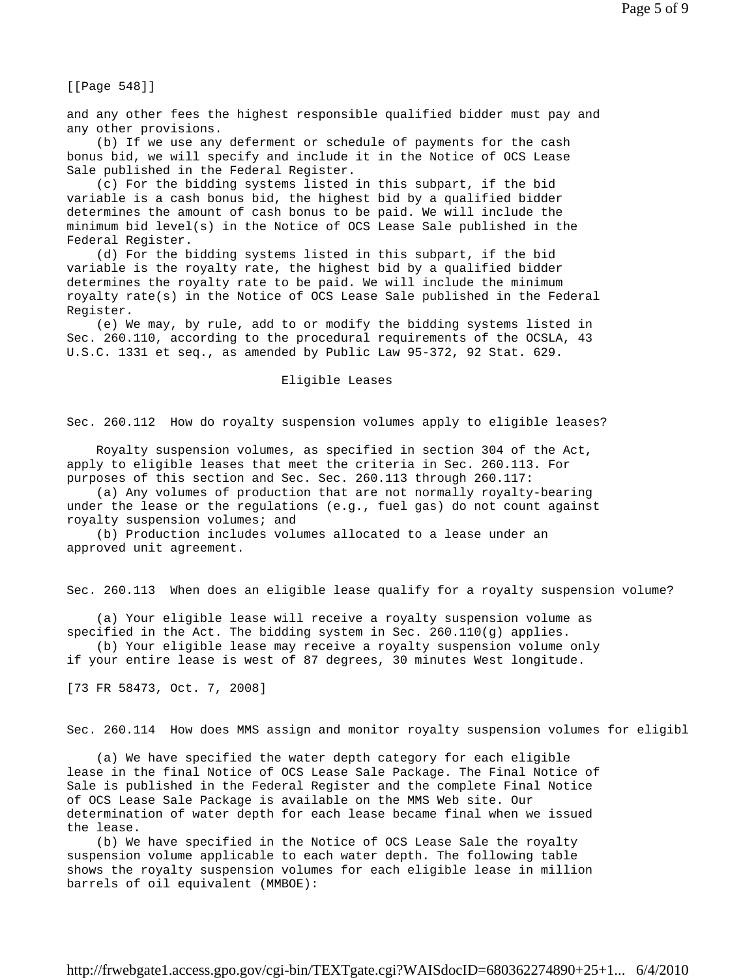[[Page 548]]

and any other fees the highest responsible qualified bidder must pay and any other provisions.

 (b) If we use any deferment or schedule of payments for the cash bonus bid, we will specify and include it in the Notice of OCS Lease Sale published in the Federal Register.

 (c) For the bidding systems listed in this subpart, if the bid variable is a cash bonus bid, the highest bid by a qualified bidder determines the amount of cash bonus to be paid. We will include the minimum bid level(s) in the Notice of OCS Lease Sale published in the Federal Register.

 (d) For the bidding systems listed in this subpart, if the bid variable is the royalty rate, the highest bid by a qualified bidder determines the royalty rate to be paid. We will include the minimum royalty rate(s) in the Notice of OCS Lease Sale published in the Federal Register.

 (e) We may, by rule, add to or modify the bidding systems listed in Sec. 260.110, according to the procedural requirements of the OCSLA, 43 U.S.C. 1331 et seq., as amended by Public Law 95-372, 92 Stat. 629.

Eligible Leases

Sec. 260.112 How do royalty suspension volumes apply to eligible leases?

 Royalty suspension volumes, as specified in section 304 of the Act, apply to eligible leases that meet the criteria in Sec. 260.113. For purposes of this section and Sec. Sec. 260.113 through 260.117:

 (a) Any volumes of production that are not normally royalty-bearing under the lease or the regulations (e.g., fuel gas) do not count against royalty suspension volumes; and

 (b) Production includes volumes allocated to a lease under an approved unit agreement.

Sec. 260.113 When does an eligible lease qualify for a royalty suspension volume?

 (a) Your eligible lease will receive a royalty suspension volume as specified in the Act. The bidding system in Sec. 260.110(g) applies.

 (b) Your eligible lease may receive a royalty suspension volume only if your entire lease is west of 87 degrees, 30 minutes West longitude.

[73 FR 58473, Oct. 7, 2008]

Sec. 260.114 How does MMS assign and monitor royalty suspension volumes for eligibl

 (a) We have specified the water depth category for each eligible lease in the final Notice of OCS Lease Sale Package. The Final Notice of Sale is published in the Federal Register and the complete Final Notice of OCS Lease Sale Package is available on the MMS Web site. Our determination of water depth for each lease became final when we issued the lease.

 (b) We have specified in the Notice of OCS Lease Sale the royalty suspension volume applicable to each water depth. The following table shows the royalty suspension volumes for each eligible lease in million barrels of oil equivalent (MMBOE):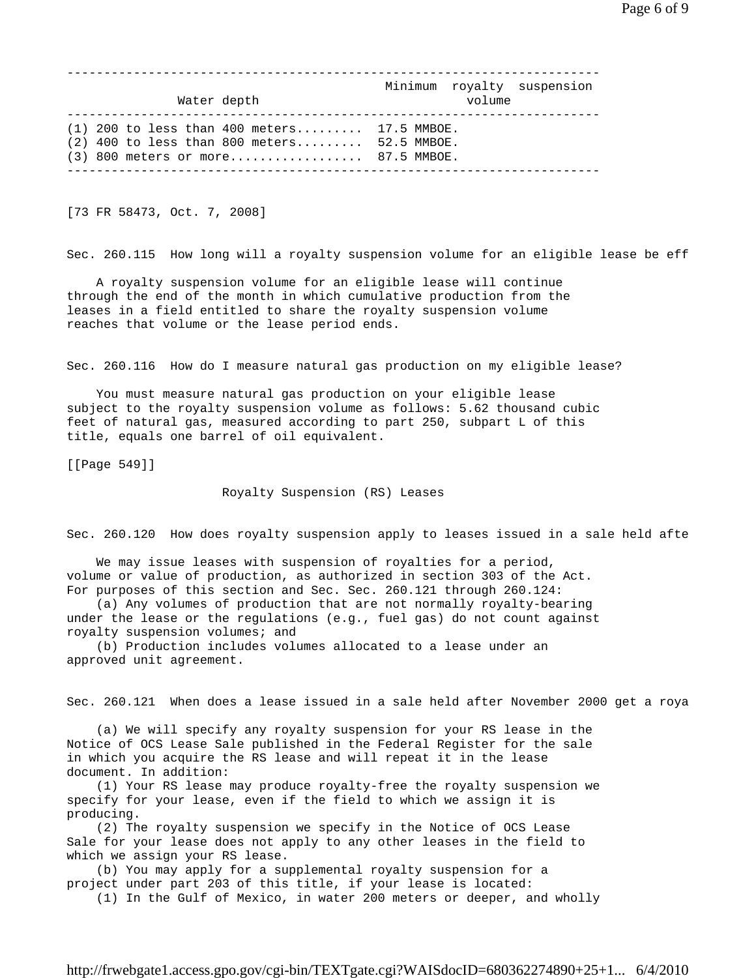Page 6 of 9

| Water depth                                                                                                                            | volume | Minimum royalty suspension |
|----------------------------------------------------------------------------------------------------------------------------------------|--------|----------------------------|
| $(1)$ 200 to less than 400 meters 17.5 MMBOE.<br>$(2)$ 400 to less than 800 meters 52.5 MMBOE.<br>$(3)$ 800 meters or more 87.5 MMBOE. |        |                            |

[73 FR 58473, Oct. 7, 2008]

Sec. 260.115 How long will a royalty suspension volume for an eligible lease be eff

 A royalty suspension volume for an eligible lease will continue through the end of the month in which cumulative production from the leases in a field entitled to share the royalty suspension volume reaches that volume or the lease period ends.

Sec. 260.116 How do I measure natural gas production on my eligible lease?

 You must measure natural gas production on your eligible lease subject to the royalty suspension volume as follows: 5.62 thousand cubic feet of natural gas, measured according to part 250, subpart L of this title, equals one barrel of oil equivalent.

[[Page 549]]

Royalty Suspension (RS) Leases

Sec. 260.120 How does royalty suspension apply to leases issued in a sale held afte

 We may issue leases with suspension of royalties for a period, volume or value of production, as authorized in section 303 of the Act. For purposes of this section and Sec. Sec. 260.121 through 260.124:

 (a) Any volumes of production that are not normally royalty-bearing under the lease or the regulations (e.g., fuel gas) do not count against royalty suspension volumes; and

 (b) Production includes volumes allocated to a lease under an approved unit agreement.

Sec. 260.121 When does a lease issued in a sale held after November 2000 get a roya

 (a) We will specify any royalty suspension for your RS lease in the Notice of OCS Lease Sale published in the Federal Register for the sale in which you acquire the RS lease and will repeat it in the lease document. In addition:

 (1) Your RS lease may produce royalty-free the royalty suspension we specify for your lease, even if the field to which we assign it is producing.

 (2) The royalty suspension we specify in the Notice of OCS Lease Sale for your lease does not apply to any other leases in the field to which we assign your RS lease.

 (b) You may apply for a supplemental royalty suspension for a project under part 203 of this title, if your lease is located:

(1) In the Gulf of Mexico, in water 200 meters or deeper, and wholly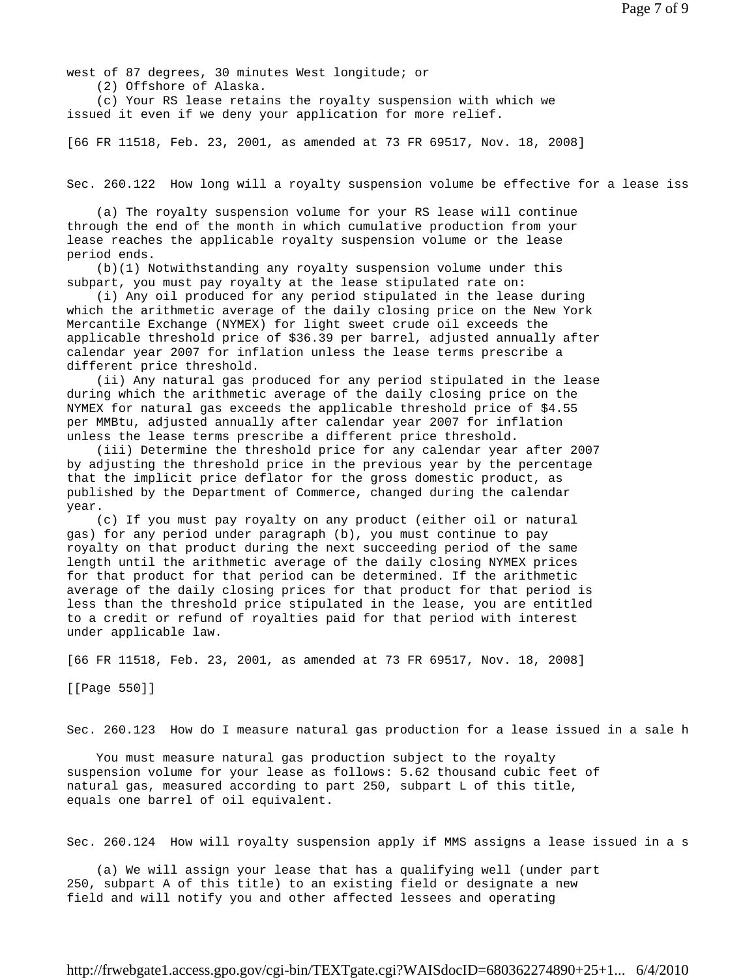west of 87 degrees, 30 minutes West longitude; or (2) Offshore of Alaska.

 (c) Your RS lease retains the royalty suspension with which we issued it even if we deny your application for more relief.

[66 FR 11518, Feb. 23, 2001, as amended at 73 FR 69517, Nov. 18, 2008]

Sec. 260.122 How long will a royalty suspension volume be effective for a lease iss

 (a) The royalty suspension volume for your RS lease will continue through the end of the month in which cumulative production from your lease reaches the applicable royalty suspension volume or the lease period ends.

 (b)(1) Notwithstanding any royalty suspension volume under this subpart, you must pay royalty at the lease stipulated rate on:

 (i) Any oil produced for any period stipulated in the lease during which the arithmetic average of the daily closing price on the New York Mercantile Exchange (NYMEX) for light sweet crude oil exceeds the applicable threshold price of \$36.39 per barrel, adjusted annually after calendar year 2007 for inflation unless the lease terms prescribe a different price threshold.

 (ii) Any natural gas produced for any period stipulated in the lease during which the arithmetic average of the daily closing price on the NYMEX for natural gas exceeds the applicable threshold price of \$4.55 per MMBtu, adjusted annually after calendar year 2007 for inflation unless the lease terms prescribe a different price threshold.

 (iii) Determine the threshold price for any calendar year after 2007 by adjusting the threshold price in the previous year by the percentage that the implicit price deflator for the gross domestic product, as published by the Department of Commerce, changed during the calendar year.

 (c) If you must pay royalty on any product (either oil or natural gas) for any period under paragraph (b), you must continue to pay royalty on that product during the next succeeding period of the same length until the arithmetic average of the daily closing NYMEX prices for that product for that period can be determined. If the arithmetic average of the daily closing prices for that product for that period is less than the threshold price stipulated in the lease, you are entitled to a credit or refund of royalties paid for that period with interest under applicable law.

[66 FR 11518, Feb. 23, 2001, as amended at 73 FR 69517, Nov. 18, 2008]

[[Page 550]]

Sec. 260.123 How do I measure natural gas production for a lease issued in a sale h

 You must measure natural gas production subject to the royalty suspension volume for your lease as follows: 5.62 thousand cubic feet of natural gas, measured according to part 250, subpart L of this title, equals one barrel of oil equivalent.

Sec. 260.124 How will royalty suspension apply if MMS assigns a lease issued in a s

 (a) We will assign your lease that has a qualifying well (under part 250, subpart A of this title) to an existing field or designate a new field and will notify you and other affected lessees and operating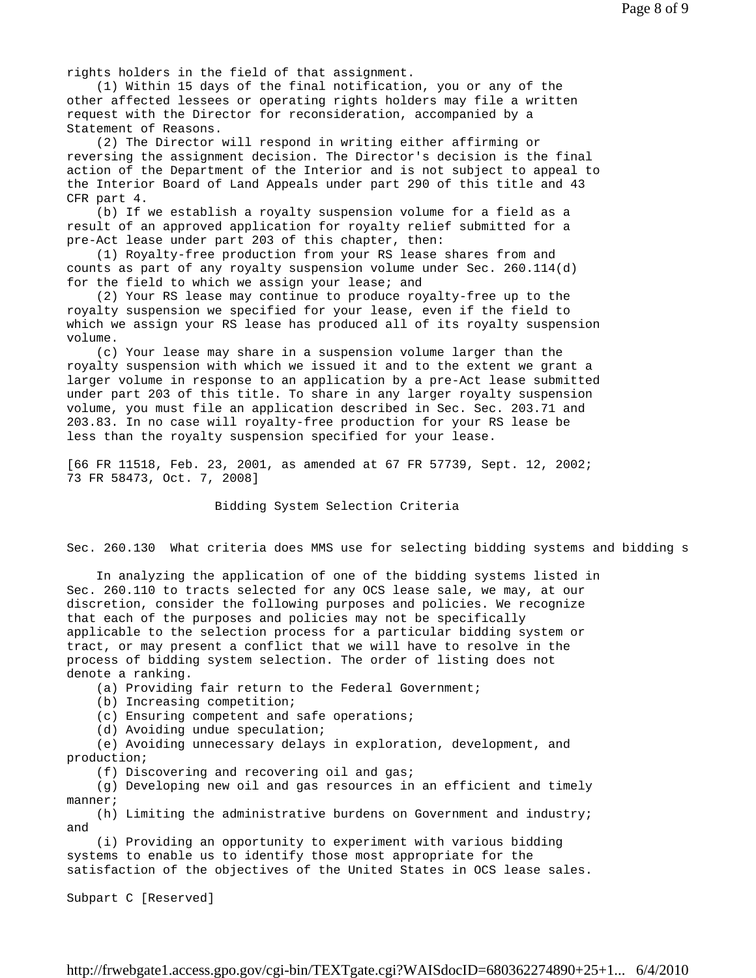rights holders in the field of that assignment.

 (1) Within 15 days of the final notification, you or any of the other affected lessees or operating rights holders may file a written request with the Director for reconsideration, accompanied by a Statement of Reasons.

 (2) The Director will respond in writing either affirming or reversing the assignment decision. The Director's decision is the final action of the Department of the Interior and is not subject to appeal to the Interior Board of Land Appeals under part 290 of this title and 43 CFR part 4.

 (b) If we establish a royalty suspension volume for a field as a result of an approved application for royalty relief submitted for a pre-Act lease under part 203 of this chapter, then:

 (1) Royalty-free production from your RS lease shares from and counts as part of any royalty suspension volume under Sec. 260.114(d) for the field to which we assign your lease; and

 (2) Your RS lease may continue to produce royalty-free up to the royalty suspension we specified for your lease, even if the field to which we assign your RS lease has produced all of its royalty suspension volume.

 (c) Your lease may share in a suspension volume larger than the royalty suspension with which we issued it and to the extent we grant a larger volume in response to an application by a pre-Act lease submitted under part 203 of this title. To share in any larger royalty suspension volume, you must file an application described in Sec. Sec. 203.71 and 203.83. In no case will royalty-free production for your RS lease be less than the royalty suspension specified for your lease.

[66 FR 11518, Feb. 23, 2001, as amended at 67 FR 57739, Sept. 12, 2002; 73 FR 58473, Oct. 7, 2008]

Bidding System Selection Criteria

Sec. 260.130 What criteria does MMS use for selecting bidding systems and bidding s

 In analyzing the application of one of the bidding systems listed in Sec. 260.110 to tracts selected for any OCS lease sale, we may, at our discretion, consider the following purposes and policies. We recognize that each of the purposes and policies may not be specifically applicable to the selection process for a particular bidding system or tract, or may present a conflict that we will have to resolve in the process of bidding system selection. The order of listing does not denote a ranking.

(a) Providing fair return to the Federal Government;

(b) Increasing competition;

(c) Ensuring competent and safe operations;

(d) Avoiding undue speculation;

 (e) Avoiding unnecessary delays in exploration, development, and production;

(f) Discovering and recovering oil and gas;

 (g) Developing new oil and gas resources in an efficient and timely manner;

 (h) Limiting the administrative burdens on Government and industry; and

 (i) Providing an opportunity to experiment with various bidding systems to enable us to identify those most appropriate for the satisfaction of the objectives of the United States in OCS lease sales.

Subpart C [Reserved]